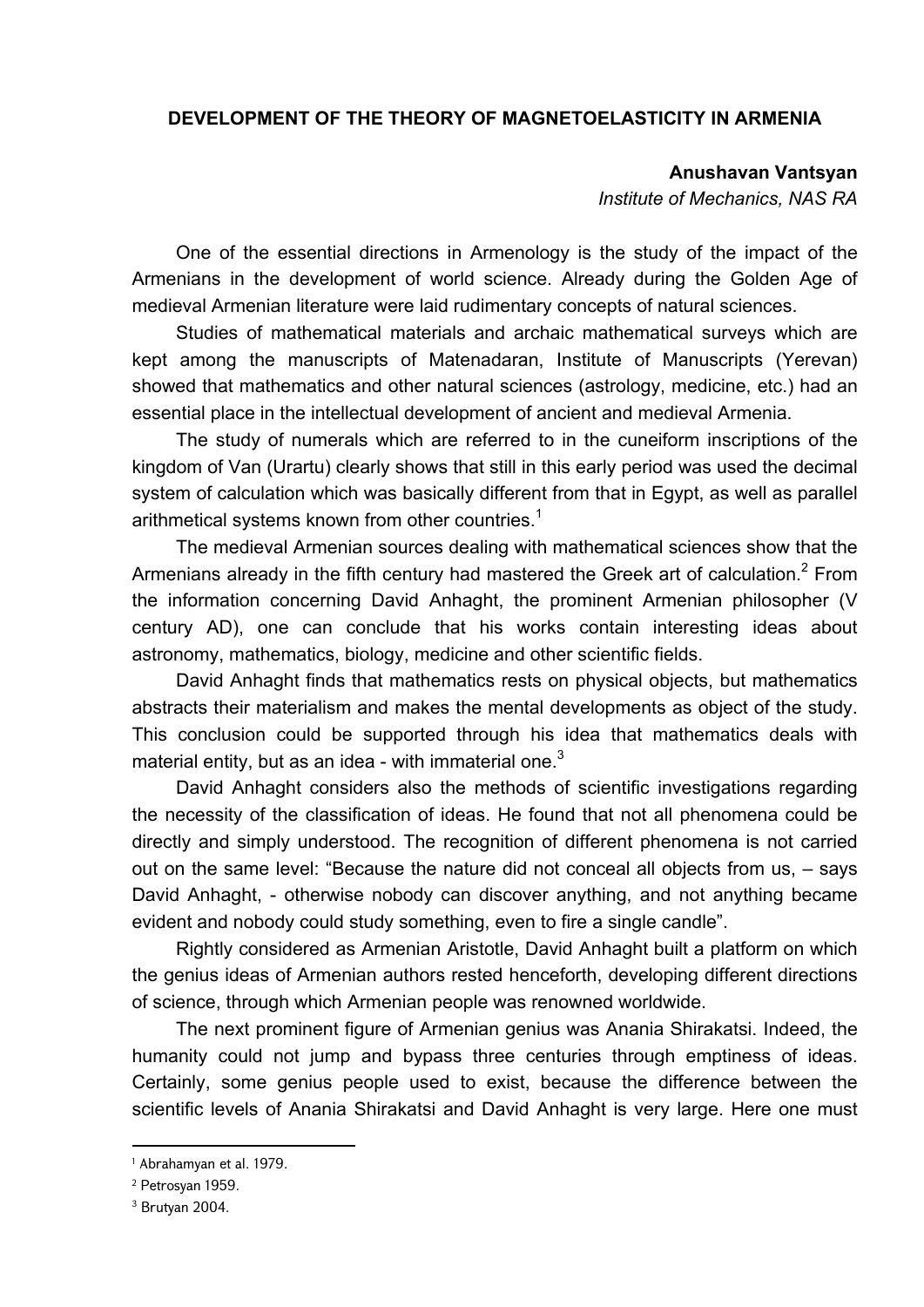## **DEVELOPMENT OF THE THEORY OF MAGNETOELASTICITY IN ARMENIA**

**Anushavan Vantsyan** 

*Institute of Mechanics, NAS RA*

One of the essential directions in Armenology is the study of the impact of the Armenians in the development of world science. Already during the Golden Age of medieval Armenian literature were laid rudimentary concepts of natural sciences.

Studies of mathematical materials and archaic mathematical surveys which are kept among the manuscripts of Matenadaran, Institute of Manuscripts (Yerevan) showed that mathematics and other natural sciences (astrology, medicine, etc.) had an essential place in the intellectual development of ancient and medieval Armenia.

The study of numerals which are referred to in the cuneiform inscriptions of the kingdom of Van (Urartu) clearly shows that still in this early period was used the decimal system of calculation which was basically different from that in Egypt, as well as parallel arithmetical systems known from other countries.<sup>1</sup>

The medieval Armenian sources dealing with mathematical sciences show that the Armenians already in the fifth century had mastered the Greek art of calculation. $^2$  From the information concerning David Anhaght, the prominent Armenian philosopher (V century AD), one can conclude that his works contain interesting ideas about astronomy, mathematics, biology, medicine and other scientific fields.

David Anhaght finds that mathematics rests on physical objects, but mathematics abstracts their materialism and makes the mental developments as object of the study. This conclusion could be supported through his idea that mathematics deals with material entity, but as an idea - with immaterial one. $3$ 

David Anhaght considers also the methods of scientific investigations regarding the necessity of the classification of ideas. He found that not all phenomena could be directly and simply understood. The recognition of different phenomena is not carried out on the same level: "Because the nature did not conceal all objects from us, – says David Anhaght, - otherwise nobody can discover anything, and not anything became evident and nobody could study something, even to fire a single candle".

Rightly considered as Armenian Aristotle, David Anhaght built a platform on which the genius ideas of Armenian authors rested henceforth, developing different directions of science, through which Armenian people was renowned worldwide.

The next prominent figure of Armenian genius was Anania Shirakatsi. Indeed, the humanity could not jump and bypass three centuries through emptiness of ideas. Certainly, some genius people used to exist, because the difference between the scientific levels of Anania Shirakatsi and David Anhaght is very large. Here one must

<sup>1</sup> Abrahamyan et al. 1979.

<sup>2</sup> Petrosyan 1959.

<sup>3</sup> Brutyan 2004.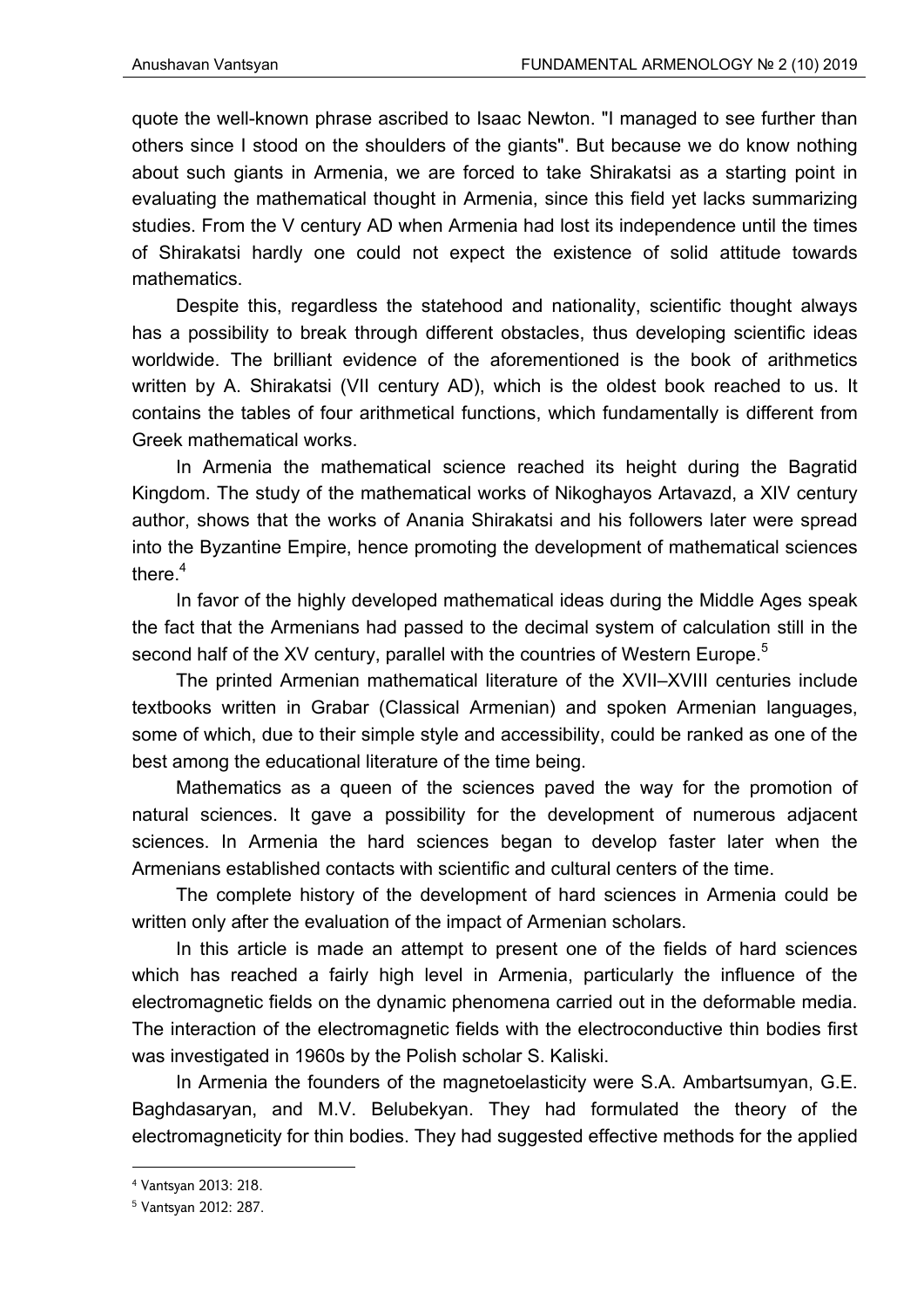quote the well-known phrase ascribed to Isaac Newton. "I managed to see further than others since I stood on the shoulders of the giants". But because we do know nothing about such giants in Armenia, we are forced to take Shirakatsi as a starting point in evaluating the mathematical thought in Armenia, since this field yet lacks summarizing studies. From the V century AD when Armenia had lost its independence until the times of Shirakatsi hardly one could not expect the existence of solid attitude towards mathematics.

Despite this, regardless the statehood and nationality, scientific thought always has a possibility to break through different obstacles, thus developing scientific ideas worldwide. The brilliant evidence of the aforementioned is the book of arithmetics written by A. Shirakatsi (VII century AD), which is the oldest book reached to us. It contains the tables of four arithmetical functions, which fundamentally is different from Greek mathematical works.

In Armenia the mathematical science reached its height during the Bagratid Kingdom. The study of the mathematical works of Nikoghayos Artavazd, a XIV century author, shows that the works of Anania Shirakatsi and his followers later were spread into the Byzantine Empire, hence promoting the development of mathematical sciences there $<sup>4</sup>$ </sup>

In favor of the highly developed mathematical ideas during the Middle Ages speak the fact that the Armenians had passed to the decimal system of calculation still in the second half of the XV century, parallel with the countries of Western Europe.<sup>5</sup>

The printed Armenian mathematical literature of the XVII–XVIII centuries include textbooks written in Grabar (Classical Armenian) and spoken Armenian languages, some of which, due to their simple style and accessibility, could be ranked as one of the best among the educational literature of the time being.

Mathematics as a queen of the sciences paved the way for the promotion of natural sciences. It gave a possibility for the development of numerous adjacent sciences. In Armenia the hard sciences began to develop faster later when the Armenians established contacts with scientific and cultural centers of the time.

The complete history of the development of hard sciences in Armenia could be written only after the evaluation of the impact of Armenian scholars.

In this article is made an attempt to present one of the fields of hard sciences which has reached a fairly high level in Armenia, particularly the influence of the electromagnetic fields on the dynamic phenomena carried out in the deformable media. The interaction of the electromagnetic fields with the electroconductive thin bodies first was investigated in 1960s by the Polish scholar S. Kaliski.

In Armenia the founders of the magnetoelasticity were S.A. Ambartsumyan, G.E. Baghdasaryan, and M.V. Belubekyan. They had formulated the theory of the electromagneticity for thin bodies. They had suggested effective methods for the applied

<sup>4</sup> Vantsyan 2013: 218.

<sup>5</sup> Vantsyan 2012: 287.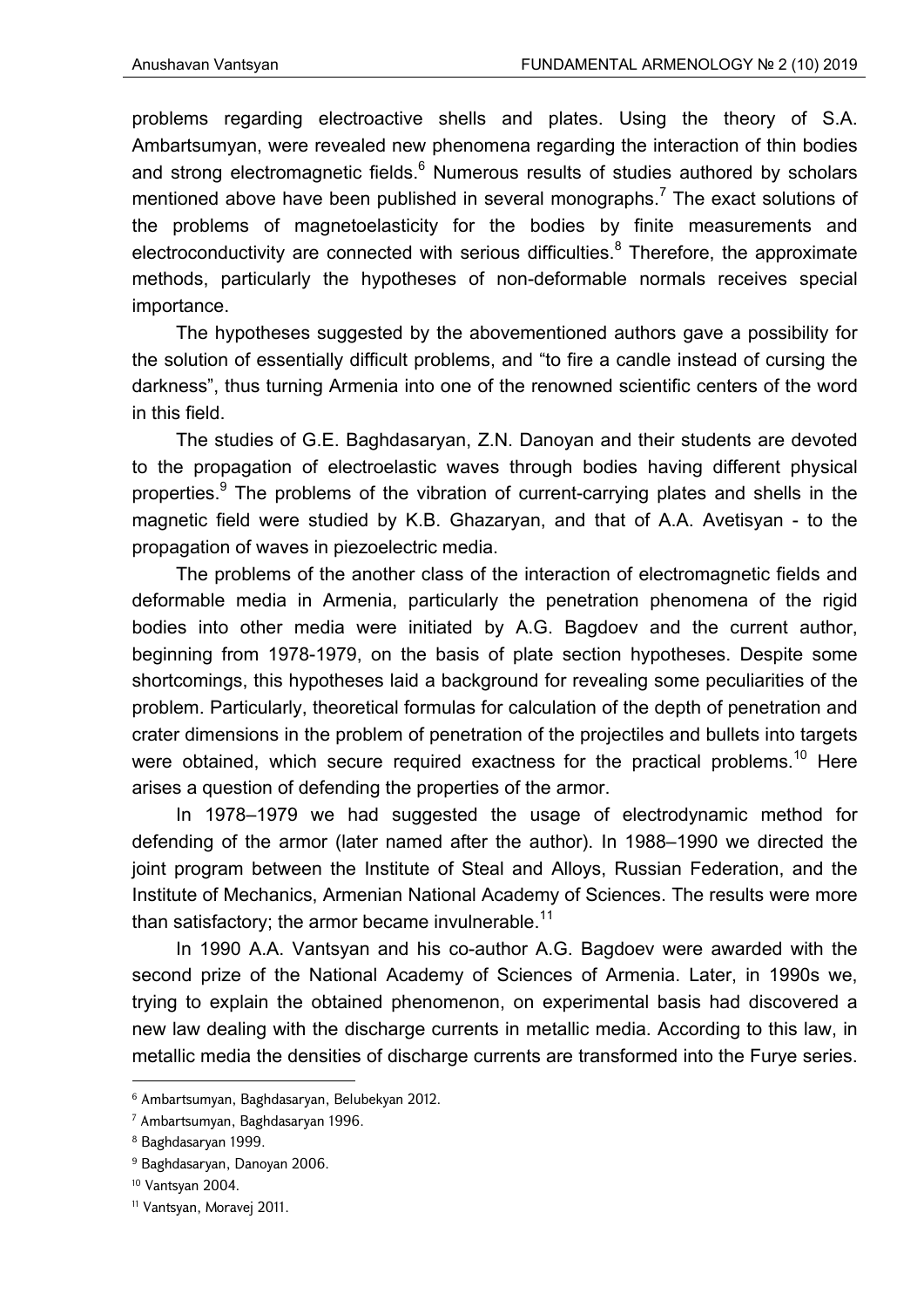problems regarding electroactive shells and plates. Using the theory of S.A. Ambartsumyan, were revealed new phenomena regarding the interaction of thin bodies and strong electromagnetic fields. $^6$  Numerous results of studies authored by scholars mentioned above have been published in several monographs.<sup>7</sup> The exact solutions of the problems of magnetoelasticity for the bodies by finite measurements and electroconductivity are connected with serious difficulties. $8$  Therefore, the approximate methods, particularly the hypotheses of non-deformable normals receives special importance.

The hypotheses suggested by the abovementioned authors gave a possibility for the solution of essentially difficult problems, and "to fire a candle instead of cursing the darkness", thus turning Armenia into one of the renowned scientific centers of the word in this field.

The studies of G.E. Baghdasaryan, Z.N. Danoyan and their students are devoted to the propagation of electroelastic waves through bodies having different physical properties.<sup>9</sup> The problems of the vibration of current-carrying plates and shells in the magnetic field were studied by K.B. Ghazaryan, and that of A.A. Avetisyan - to the propagation of waves in piezoelectric media.

The problems of the another class of the interaction of electromagnetic fields and deformable media in Armenia, particularly the penetration phenomena of the rigid bodies into other media were initiated by A.G. Bagdoev and the current author, beginning from 1978-1979, on the basis of plate section hypotheses. Despite some shortcomings, this hypotheses laid a background for revealing some peculiarities of the problem. Particularly, theoretical formulas for calculation of the depth of penetration and crater dimensions in the problem of penetration of the projectiles and bullets into targets were obtained, which secure required exactness for the practical problems.<sup>10</sup> Here arises a question of defending the properties of the armor.

In 1978–1979 we had suggested the usage of electrodynamic method for defending of the armor (later named after the author). In 1988–1990 we directed the joint program between the Institute of Steal and Alloys, Russian Federation, and the Institute of Mechanics, Armenian National Academy of Sciences. The results were more than satisfactory; the armor became invulnerable.<sup>11</sup>

In 1990 A.A. Vantsyan and his co-author A.G. Bagdoev were awarded with the second prize of the National Academy of Sciences of Armenia. Later, in 1990s we, trying to explain the obtained phenomenon, on experimental basis had discovered a new law dealing with the discharge currents in metallic media. According to this law, in metallic media the densities of discharge currents are transformed into the Furye series.

<sup>6</sup> Ambartsumyan, Baghdasaryan, Belubekyan 2012.

<sup>7</sup> Ambartsumyan, Baghdasaryan 1996.

<sup>8</sup> Baghdasaryan 1999.

<sup>&</sup>lt;sup>9</sup> Baghdasaryan, Danoyan 2006.

<sup>10</sup> Vantsyan 2004.

<sup>11</sup> Vantsyan, Moravej 2011.